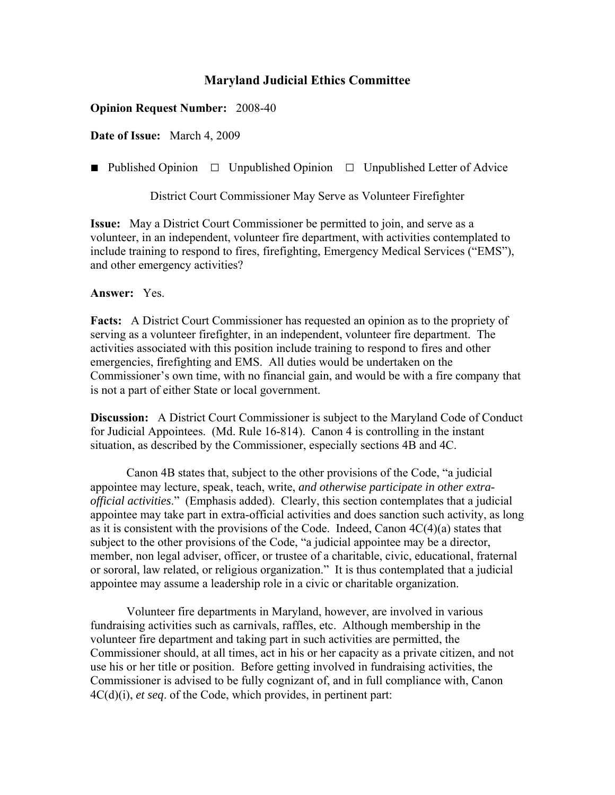## **Maryland Judicial Ethics Committee**

## **Opinion Request Number:** 2008-40

**Date of Issue:** March 4, 2009

■ Published Opinion □ Unpublished Opinion □ Unpublished Letter of Advice

District Court Commissioner May Serve as Volunteer Firefighter

**Issue:** May a District Court Commissioner be permitted to join, and serve as a volunteer, in an independent, volunteer fire department, with activities contemplated to include training to respond to fires, firefighting, Emergency Medical Services ("EMS"), and other emergency activities?

**Answer:** Yes.

**Facts:** A District Court Commissioner has requested an opinion as to the propriety of serving as a volunteer firefighter, in an independent, volunteer fire department. The activities associated with this position include training to respond to fires and other emergencies, firefighting and EMS. All duties would be undertaken on the Commissioner's own time, with no financial gain, and would be with a fire company that is not a part of either State or local government.

**Discussion:** A District Court Commissioner is subject to the Maryland Code of Conduct for Judicial Appointees. (Md. Rule 16-814). Canon 4 is controlling in the instant situation, as described by the Commissioner, especially sections 4B and 4C.

 Canon 4B states that, subject to the other provisions of the Code, "a judicial appointee may lecture, speak, teach, write, *and otherwise participate in other extraofficial activities*." (Emphasis added). Clearly, this section contemplates that a judicial appointee may take part in extra-official activities and does sanction such activity, as long as it is consistent with the provisions of the Code. Indeed, Canon  $4C(4)(a)$  states that subject to the other provisions of the Code, "a judicial appointee may be a director, member, non legal adviser, officer, or trustee of a charitable, civic, educational, fraternal or sororal, law related, or religious organization." It is thus contemplated that a judicial appointee may assume a leadership role in a civic or charitable organization.

 Volunteer fire departments in Maryland, however, are involved in various fundraising activities such as carnivals, raffles, etc. Although membership in the volunteer fire department and taking part in such activities are permitted, the Commissioner should, at all times, act in his or her capacity as a private citizen, and not use his or her title or position. Before getting involved in fundraising activities, the Commissioner is advised to be fully cognizant of, and in full compliance with, Canon 4C(d)(i), *et seq*. of the Code, which provides, in pertinent part: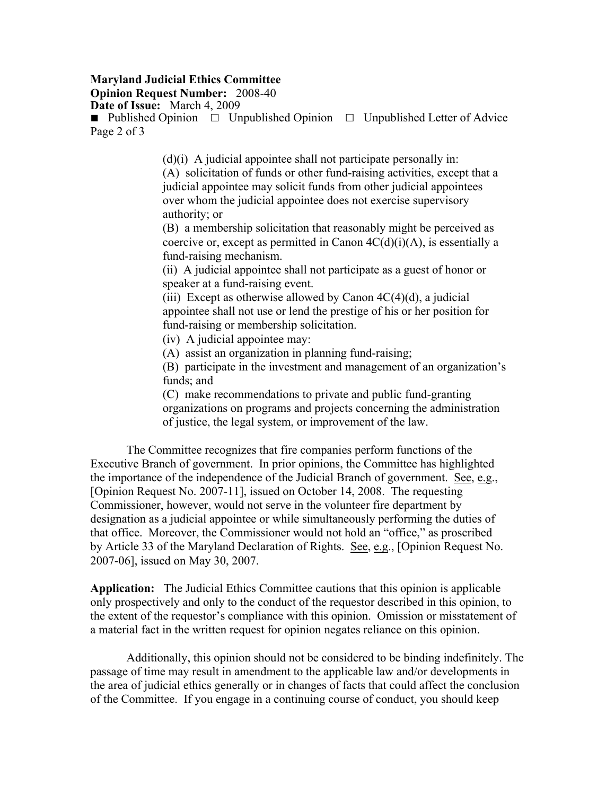## **Maryland Judicial Ethics Committee**

**Opinion Request Number:** 2008-40

**Date of Issue:** March 4, 2009

■ Published Opinion □ Unpublished Opinion □ Unpublished Letter of Advice Page 2 of 3

 $(d)(i)$  A judicial appointee shall not participate personally in:

(A) solicitation of funds or other fund-raising activities, except that a judicial appointee may solicit funds from other judicial appointees over whom the judicial appointee does not exercise supervisory authority; or

(B) a membership solicitation that reasonably might be perceived as coercive or, except as permitted in Canon  $4C(d)(i)(A)$ , is essentially a fund-raising mechanism.

(ii) A judicial appointee shall not participate as a guest of honor or speaker at a fund-raising event.

(iii) Except as otherwise allowed by Canon  $4C(4)(d)$ , a judicial appointee shall not use or lend the prestige of his or her position for fund-raising or membership solicitation.

(iv) A judicial appointee may:

(A) assist an organization in planning fund-raising;

(B) participate in the investment and management of an organization's funds; and

(C) make recommendations to private and public fund-granting organizations on programs and projects concerning the administration of justice, the legal system, or improvement of the law.

The Committee recognizes that fire companies perform functions of the Executive Branch of government. In prior opinions, the Committee has highlighted the importance of the independence of the Judicial Branch of government. See, e.g., [Opinion Request No. 2007-11], issued on October 14, 2008. The requesting Commissioner, however, would not serve in the volunteer fire department by designation as a judicial appointee or while simultaneously performing the duties of that office. Moreover, the Commissioner would not hold an "office," as proscribed by Article 33 of the Maryland Declaration of Rights. See, e.g., [Opinion Request No. 2007-06], issued on May 30, 2007.

**Application:** The Judicial Ethics Committee cautions that this opinion is applicable only prospectively and only to the conduct of the requestor described in this opinion, to the extent of the requestor's compliance with this opinion. Omission or misstatement of a material fact in the written request for opinion negates reliance on this opinion.

Additionally, this opinion should not be considered to be binding indefinitely. The passage of time may result in amendment to the applicable law and/or developments in the area of judicial ethics generally or in changes of facts that could affect the conclusion of the Committee. If you engage in a continuing course of conduct, you should keep